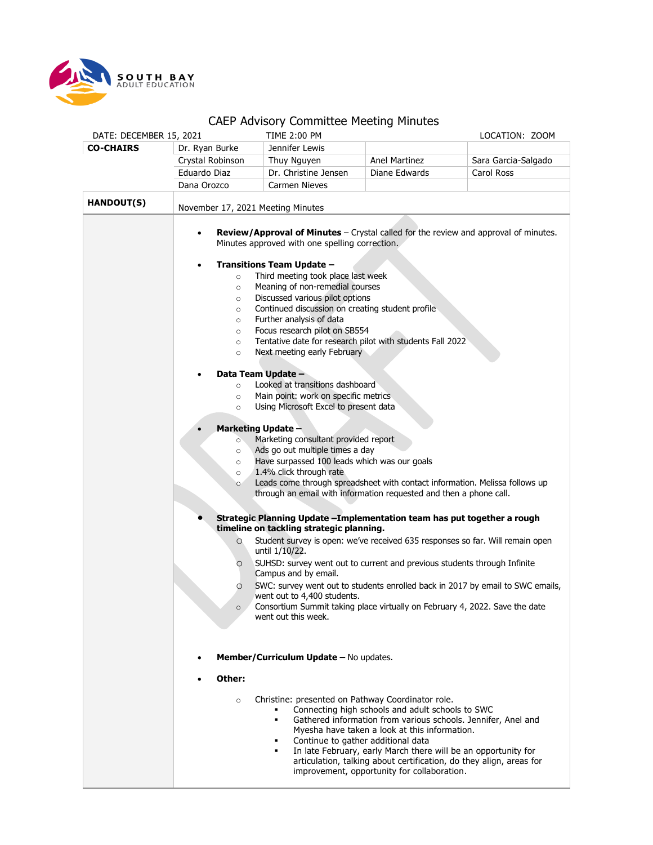

## CAEP Advisory Committee Meeting Minutes

| DATE: DECEMBER 15, 2021     |                                                                                                                                                                                                                                                                                                                                                                                                                                                                                                                                                                                                                                                                                                                                                                                                                                                                                                                                                                                                                                                                                                                                                                                                                                                                                                                                                                                                 | CALL AUVISULY CUTTITUTE PIECUITY PIINULES<br>TIME 2:00 PM                                                                         |                                                                                                                                                            | LOCATION: ZOOM      |  |
|-----------------------------|-------------------------------------------------------------------------------------------------------------------------------------------------------------------------------------------------------------------------------------------------------------------------------------------------------------------------------------------------------------------------------------------------------------------------------------------------------------------------------------------------------------------------------------------------------------------------------------------------------------------------------------------------------------------------------------------------------------------------------------------------------------------------------------------------------------------------------------------------------------------------------------------------------------------------------------------------------------------------------------------------------------------------------------------------------------------------------------------------------------------------------------------------------------------------------------------------------------------------------------------------------------------------------------------------------------------------------------------------------------------------------------------------|-----------------------------------------------------------------------------------------------------------------------------------|------------------------------------------------------------------------------------------------------------------------------------------------------------|---------------------|--|
| <b>CO-CHAIRS</b>            | Dr. Ryan Burke                                                                                                                                                                                                                                                                                                                                                                                                                                                                                                                                                                                                                                                                                                                                                                                                                                                                                                                                                                                                                                                                                                                                                                                                                                                                                                                                                                                  | Jennifer Lewis                                                                                                                    |                                                                                                                                                            |                     |  |
|                             | Crystal Robinson                                                                                                                                                                                                                                                                                                                                                                                                                                                                                                                                                                                                                                                                                                                                                                                                                                                                                                                                                                                                                                                                                                                                                                                                                                                                                                                                                                                | Thuy Nguyen                                                                                                                       | <b>Anel Martinez</b>                                                                                                                                       | Sara Garcia-Salgado |  |
|                             | Eduardo Diaz                                                                                                                                                                                                                                                                                                                                                                                                                                                                                                                                                                                                                                                                                                                                                                                                                                                                                                                                                                                                                                                                                                                                                                                                                                                                                                                                                                                    | Dr. Christine Jensen                                                                                                              | Diane Edwards                                                                                                                                              | Carol Ross          |  |
|                             | Dana Orozco                                                                                                                                                                                                                                                                                                                                                                                                                                                                                                                                                                                                                                                                                                                                                                                                                                                                                                                                                                                                                                                                                                                                                                                                                                                                                                                                                                                     | Carmen Nieves                                                                                                                     |                                                                                                                                                            |                     |  |
| <b>HANDOUT(S)</b>           | November 17, 2021 Meeting Minutes                                                                                                                                                                                                                                                                                                                                                                                                                                                                                                                                                                                                                                                                                                                                                                                                                                                                                                                                                                                                                                                                                                                                                                                                                                                                                                                                                               |                                                                                                                                   |                                                                                                                                                            |                     |  |
|                             | Review/Approval of Minutes - Crystal called for the review and approval of minutes.<br>$\bullet$<br>Minutes approved with one spelling correction.<br><b>Transitions Team Update -</b><br>٠<br>Third meeting took place last week<br>$\circ$<br>Meaning of non-remedial courses<br>$\circ$<br>Discussed various pilot options<br>$\circ$<br>Continued discussion on creating student profile<br>$\circ$<br>Further analysis of data<br>$\circ$<br>Focus research pilot on SB554<br>$\circ$<br>Tentative date for research pilot with students Fall 2022<br>$\circ$<br>Next meeting early February<br>$\circ$<br>Data Team Update -<br>Looked at transitions dashboard<br>$\circ$<br>Main point: work on specific metrics<br>$\circ$<br>Using Microsoft Excel to present data<br>$\circ$<br><b>Marketing Update -</b><br>Marketing consultant provided report<br>$\circ$<br>Ads go out multiple times a day<br>$\circ$<br>Have surpassed 100 leads which was our goals<br>$\circ$<br>1.4% click through rate<br>$\circ$<br>Leads come through spreadsheet with contact information. Melissa follows up<br>$\circ$<br>through an email with information requested and then a phone call.<br>Strategic Planning Update - Implementation team has put together a rough<br>timeline on tackling strategic planning.<br>Student survey is open: we've received 635 responses so far. Will remain open |                                                                                                                                   |                                                                                                                                                            |                     |  |
| until $1/10/22$ .<br>O<br>O |                                                                                                                                                                                                                                                                                                                                                                                                                                                                                                                                                                                                                                                                                                                                                                                                                                                                                                                                                                                                                                                                                                                                                                                                                                                                                                                                                                                                 | Campus and by email.                                                                                                              | SUHSD: survey went out to current and previous students through Infinite<br>SWC: survey went out to students enrolled back in 2017 by email to SWC emails, |                     |  |
|                             | $\circ$                                                                                                                                                                                                                                                                                                                                                                                                                                                                                                                                                                                                                                                                                                                                                                                                                                                                                                                                                                                                                                                                                                                                                                                                                                                                                                                                                                                         | went out to 4,400 students.<br>Consortium Summit taking place virtually on February 4, 2022. Save the date<br>went out this week. |                                                                                                                                                            |                     |  |
|                             | Member/Curriculum Update - No updates.                                                                                                                                                                                                                                                                                                                                                                                                                                                                                                                                                                                                                                                                                                                                                                                                                                                                                                                                                                                                                                                                                                                                                                                                                                                                                                                                                          |                                                                                                                                   |                                                                                                                                                            |                     |  |
|                             | Other:                                                                                                                                                                                                                                                                                                                                                                                                                                                                                                                                                                                                                                                                                                                                                                                                                                                                                                                                                                                                                                                                                                                                                                                                                                                                                                                                                                                          |                                                                                                                                   |                                                                                                                                                            |                     |  |
|                             | Christine: presented on Pathway Coordinator role.<br>$\circ$<br>Connecting high schools and adult schools to SWC<br>Gathered information from various schools. Jennifer, Anel and<br>$\blacksquare$<br>Myesha have taken a look at this information.<br>Continue to gather additional data<br>In late February, early March there will be an opportunity for<br>$\blacksquare$<br>articulation, talking about certification, do they align, areas for<br>improvement, opportunity for collaboration.                                                                                                                                                                                                                                                                                                                                                                                                                                                                                                                                                                                                                                                                                                                                                                                                                                                                                            |                                                                                                                                   |                                                                                                                                                            |                     |  |